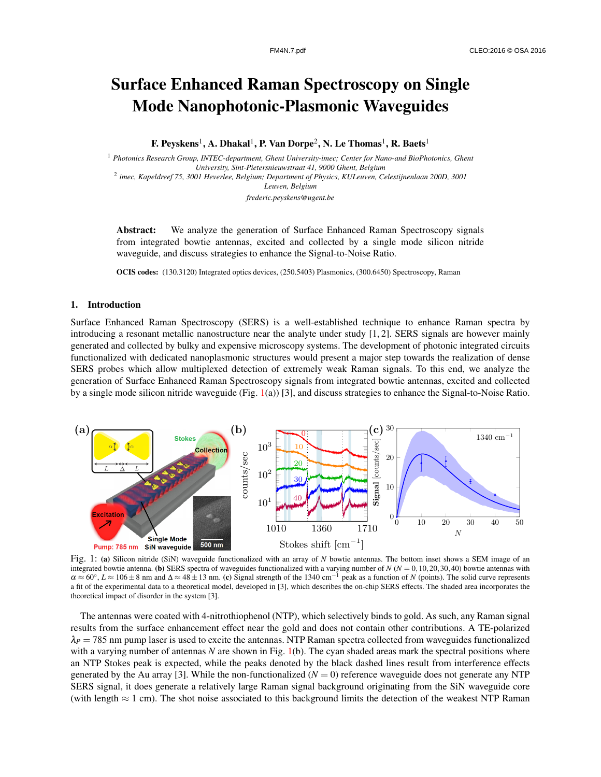## Surface Enhanced Raman Spectroscopy on Single Mode Nanophotonic-Plasmonic Waveguides

F. Peyskens $^1$ , A. Dhakal $^1$ , P. Van Dorpe $^2$ , N. Le Thomas $^1$ , R. Baets $^1$ 

<sup>1</sup> *Photonics Research Group, INTEC-department, Ghent University-imec; Center for Nano-and BioPhotonics, Ghent University, Sint-Pietersnieuwstraat 41, 9000 Ghent, Belgium* 2 *imec, Kapeldreef 75, 3001 Heverlee, Belgium; Department of Physics, KULeuven, Celestijnenlaan 200D, 3001 Leuven, Belgium frederic.peyskens@ugent.be*

Abstract: We analyze the generation of Surface Enhanced Raman Spectroscopy signals from integrated bowtie antennas, excited and collected by a single mode silicon nitride waveguide, and discuss strategies to enhance the Signal-to-Noise Ratio.

OCIS codes: (130.3120) Integrated optics devices, (250.5403) Plasmonics, (300.6450) Spectroscopy, Raman

## 1. Introduction

Surface Enhanced Raman Spectroscopy (SERS) is a well-established technique to enhance Raman spectra by introducing a resonant metallic nanostructure near the analyte under study [1, 2]. SERS signals are however mainly generated and collected by bulky and expensive microscopy systems. The development of photonic integrated circuits functionalized with dedicated nanoplasmonic structures would present a major step towards the realization of dense SERS probes which allow multiplexed detection of extremely weak Raman signals. To this end, we analyze the generation of Surface Enhanced Raman Spectroscopy signals from integrated bowtie antennas, excited and collected by a single mode silicon nitride waveguide (Fig. 1(a)) [3], and discuss strategies to enhance the Signal-to-Noise Ratio.



Fig. 1: (a) Silicon nitride (SiN) waveguide functionalized with an array of *N* bowtie antennas. The bottom inset shows a SEM image of an integrated bowtie antenna. (b) SERS spectra of waveguides functionalized with a varying number of *N* (*N* = 0,10,20,30,40) bowtie antennas with  $\alpha \approx 60^{\circ}$ ,  $L \approx 106 \pm 8$  nm and  $\Delta \approx 48 \pm 13$  nm. (c) Signal strength of the 1340 cm<sup>-1</sup> peak as a function of *N* (points). The solid curve represents a fit of the experimental data to a theoretical model, developed in [3], which describes the on-chip SERS effects. The shaded area incorporates the theoretical impact of disorder in the system [3].

The antennas were coated with 4-nitrothiophenol (NTP), which selectively binds to gold. As such, any Raman signal results from the surface enhancement effect near the gold and does not contain other contributions. A TE-polarized  $\lambda_P$  = 785 nm pump laser is used to excite the antennas. NTP Raman spectra collected from waveguides functionalized with a varying number of antennas *N* are shown in Fig. 1(b). The cyan shaded areas mark the spectral positions where an NTP Stokes peak is expected, while the peaks denoted by the black dashed lines result from interference effects generated by the Au array [3]. While the non-functionalized  $(N = 0)$  reference waveguide does not generate any NTP SERS signal, it does generate a relatively large Raman signal background originating from the SiN waveguide core (with length ≈ 1 cm). The shot noise associated to this background limits the detection of the weakest NTP Raman